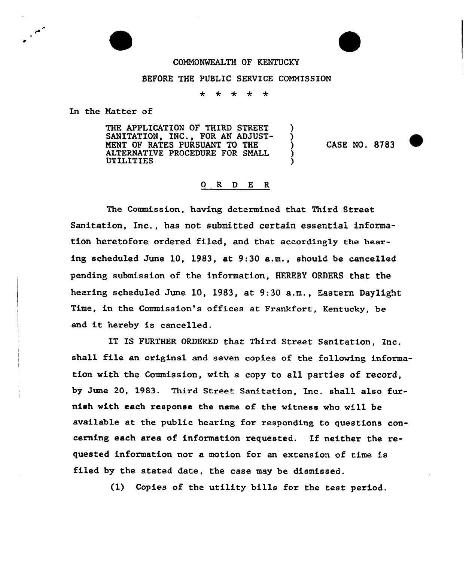## COMMONWEALTH OF KENTUCKY

## BEFORE THE PUBLIC SERVICE COMMISSION

÷ ∗ ∗ ÷  $\star$ 

In the Natter of

THE APPLICATION OF THIRD STREET SANITATION, INC., FOR AN ADJUST-MENT OF RATES PURSUANT TO THE ALTERNATIVE PROCEDURE FOR SMALL **UTILITIES** 

CASE NO. <sup>8783</sup> ~

## O R D E R

The Commission, having determined that Third Street Sanitation, Inc., has not submitted certain essential information heretofore ordered filed, and that accordingly the hearing scheduled June 10, 1983, at 9:30 a.m., should be cancelled pending submission of the information, HEREBY ORDERS that the hearing scheduled June 10, 1983, at 9:30 a.m., Eastern Daylight Time, in the Commission's offices at Frankfort, Kentucky, be and it hereby is cancelled.

IT IS FURTHER ORDERED that Third Street Sanitation, Inc. shall file an original and seven copies of the following information with the Commission, with a copy to all parties of record, by June 20, 1983. Third Street Sanitation, Inc. shall also furnish with each response the name of the witness who will be available at the public hearing for responding to questions concerning each area of information requested. If neither the requested information nor a motion for an extension of time is filed by the stated date, the case may be dismissed.

(1) Copies of the utility bills for the test period.